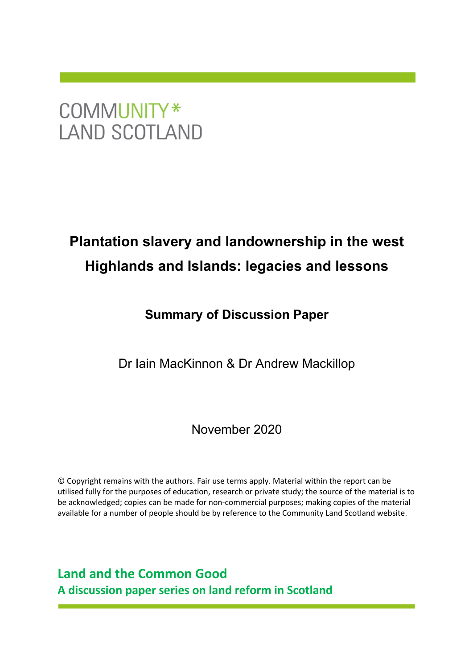## COMMUNITY\* **LAND SCOTLAND**

## **Plantation slavery and landownership in the west Highlands and Islands: legacies and lessons**

## **Summary of Discussion Paper**

Dr Iain MacKinnon & Dr Andrew Mackillop

November 2020

© Copyright remains with the authors. Fair use terms apply. Material within the report can be utilised fully for the purposes of education, research or private study; the source of the material is to be acknowledged; copies can be made for non-commercial purposes; making copies of the material available for a number of people should be by reference to the Community Land Scotland website.

**Land and the Common Good A discussion paper series on land reform in Scotland**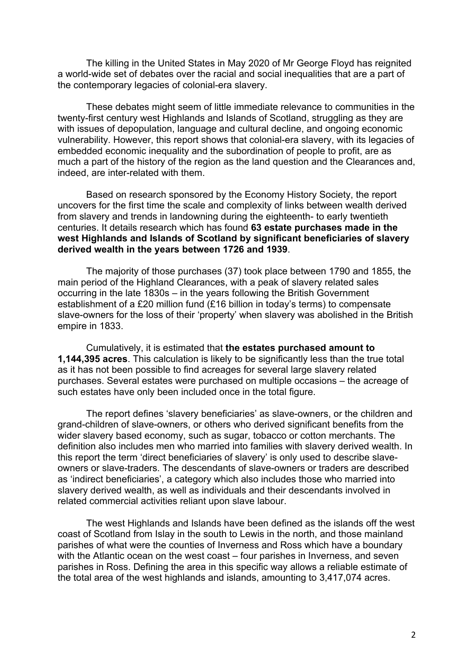The killing in the United States in May 2020 of Mr George Floyd has reignited a world-wide set of debates over the racial and social inequalities that are a part of the contemporary legacies of colonial-era slavery.

These debates might seem of little immediate relevance to communities in the twenty-first century west Highlands and Islands of Scotland, struggling as they are with issues of depopulation, language and cultural decline, and ongoing economic vulnerability. However, this report shows that colonial-era slavery, with its legacies of embedded economic inequality and the subordination of people to profit, are as much a part of the history of the region as the land question and the Clearances and, indeed, are inter-related with them.

Based on research sponsored by the Economy History Society, the report uncovers for the first time the scale and complexity of links between wealth derived from slavery and trends in landowning during the eighteenth- to early twentieth centuries. It details research which has found **63 estate purchases made in the west Highlands and Islands of Scotland by significant beneficiaries of slavery derived wealth in the years between 1726 and 1939**.

The majority of those purchases (37) took place between 1790 and 1855, the main period of the Highland Clearances, with a peak of slavery related sales occurring in the late 1830s – in the years following the British Government establishment of a £20 million fund (£16 billion in today's terms) to compensate slave-owners for the loss of their 'property' when slavery was abolished in the British empire in 1833.

Cumulatively, it is estimated that **the estates purchased amount to 1,144,395 acres**. This calculation is likely to be significantly less than the true total as it has not been possible to find acreages for several large slavery related purchases. Several estates were purchased on multiple occasions – the acreage of such estates have only been included once in the total figure.

The report defines 'slavery beneficiaries' as slave-owners, or the children and grand-children of slave-owners, or others who derived significant benefits from the wider slavery based economy, such as sugar, tobacco or cotton merchants. The definition also includes men who married into families with slavery derived wealth. In this report the term 'direct beneficiaries of slavery' is only used to describe slaveowners or slave-traders. The descendants of slave-owners or traders are described as 'indirect beneficiaries', a category which also includes those who married into slavery derived wealth, as well as individuals and their descendants involved in related commercial activities reliant upon slave labour.

The west Highlands and Islands have been defined as the islands off the west coast of Scotland from Islay in the south to Lewis in the north, and those mainland parishes of what were the counties of Inverness and Ross which have a boundary with the Atlantic ocean on the west coast – four parishes in Inverness, and seven parishes in Ross. Defining the area in this specific way allows a reliable estimate of the total area of the west highlands and islands, amounting to 3,417,074 acres.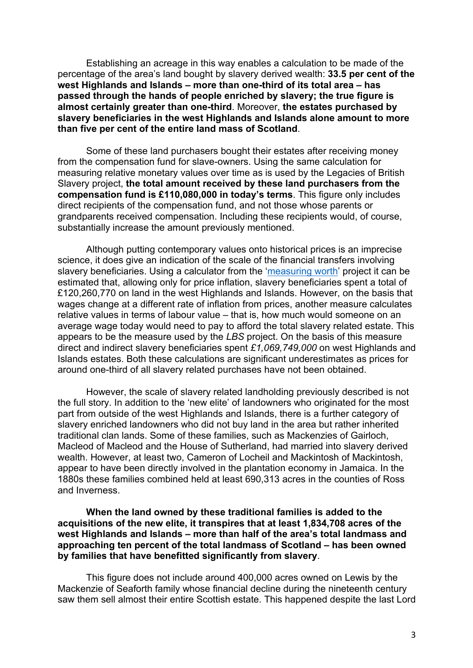Establishing an acreage in this way enables a calculation to be made of the percentage of the area's land bought by slavery derived wealth: **33.5 per cent of the west Highlands and Islands – more than one-third of its total area – has passed through the hands of people enriched by slavery; the true figure is almost certainly greater than one-third**. Moreover, **the estates purchased by slavery beneficiaries in the west Highlands and Islands alone amount to more than five per cent of the entire land mass of Scotland**.

Some of these land purchasers bought their estates after receiving money from the compensation fund for slave-owners. Using the same calculation for measuring relative monetary values over time as is used by the Legacies of British Slavery project, **the total amount received by these land purchasers from the compensation fund is £110,080,000 in today's terms**. This figure only includes direct recipients of the compensation fund, and not those whose parents or grandparents received compensation. Including these recipients would, of course, substantially increase the amount previously mentioned.

Although putting contemporary values onto historical prices is an imprecise science, it does give an indication of the scale of the financial transfers involving slavery beneficiaries. Using a calculator from the 'measuring worth' project it can be estimated that, allowing only for price inflation, slavery beneficiaries spent a total of £120,260,770 on land in the west Highlands and Islands. However, on the basis that wages change at a different rate of inflation from prices, another measure calculates relative values in terms of labour value – that is, how much would someone on an average wage today would need to pay to afford the total slavery related estate. This appears to be the measure used by the *LBS* project. On the basis of this measure direct and indirect slavery beneficiaries spent *£1,069,749,000* on west Highlands and Islands estates. Both these calculations are significant underestimates as prices for around one-third of all slavery related purchases have not been obtained.

However, the scale of slavery related landholding previously described is not the full story. In addition to the 'new elite' of landowners who originated for the most part from outside of the west Highlands and Islands, there is a further category of slavery enriched landowners who did not buy land in the area but rather inherited traditional clan lands. Some of these families, such as Mackenzies of Gairloch, Macleod of Macleod and the House of Sutherland, had married into slavery derived wealth. However, at least two, Cameron of Locheil and Mackintosh of Mackintosh, appear to have been directly involved in the plantation economy in Jamaica. In the 1880s these families combined held at least 690,313 acres in the counties of Ross and Inverness.

**When the land owned by these traditional families is added to the acquisitions of the new elite, it transpires that at least 1,834,708 acres of the west Highlands and Islands – more than half of the area's total landmass and approaching ten percent of the total landmass of Scotland – has been owned by families that have benefitted significantly from slavery**.

This figure does not include around 400,000 acres owned on Lewis by the Mackenzie of Seaforth family whose financial decline during the nineteenth century saw them sell almost their entire Scottish estate. This happened despite the last Lord